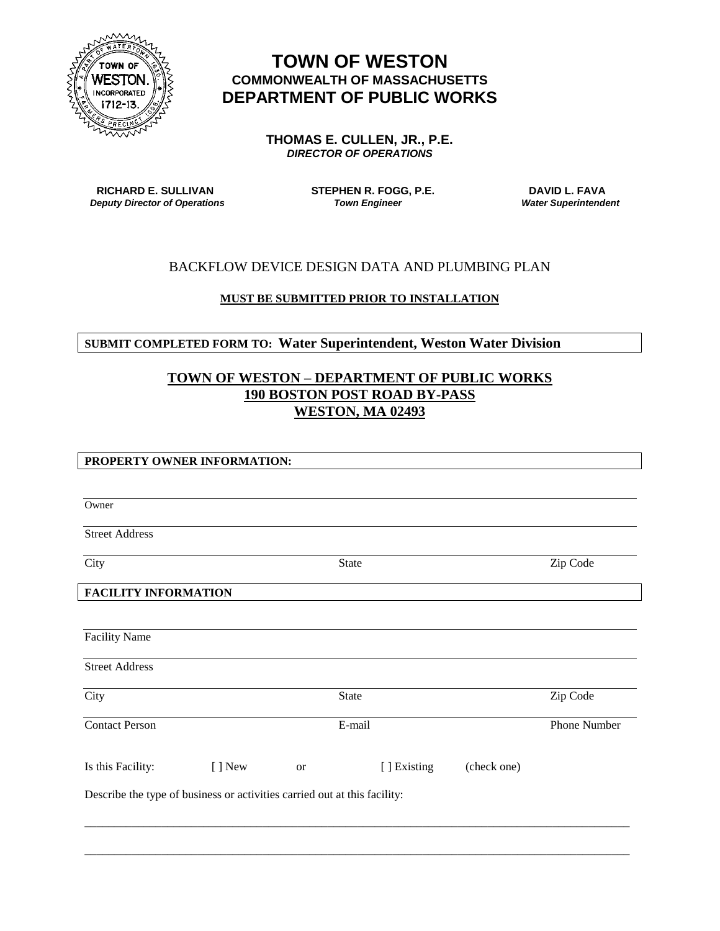

# **TOWN OF WESTON COMMONWEALTH OF MASSACHUSETTS DEPARTMENT OF PUBLIC WORKS**

**THOMAS E. CULLEN, JR., P.E.** *DIRECTOR OF OPERATIONS*

**RICHARD E. SULLIVAN STEPHEN R. FOGG, P.E.** DAVID L. FAVA DAVID L. FAVA<br> *Town Engineer* Superations Town *Engineer* Water Superintendent *Deputy Director of Operations* 

# BACKFLOW DEVICE DESIGN DATA AND PLUMBING PLAN

### **MUST BE SUBMITTED PRIOR TO INSTALLATION**

## **SUBMIT COMPLETED FORM TO: Water Superintendent, Weston Water Division**

# **TOWN OF WESTON – DEPARTMENT OF PUBLIC WORKS 190 BOSTON POST ROAD BY-PASS WESTON, MA 02493**

### **PROPERTY OWNER INFORMATION:**

| Owner                                                                     |         |              |              |             |  |
|---------------------------------------------------------------------------|---------|--------------|--------------|-------------|--|
| <b>Street Address</b>                                                     |         |              |              |             |  |
| City                                                                      |         | State        |              |             |  |
| <b>FACILITY INFORMATION</b>                                               |         |              |              |             |  |
| <b>Facility Name</b>                                                      |         |              |              |             |  |
| <b>Street Address</b>                                                     |         |              |              |             |  |
| City                                                                      |         | <b>State</b> |              |             |  |
| <b>Contact Person</b>                                                     |         | E-mail       | Phone Number |             |  |
| Is this Facility:                                                         | [ ] New | <b>or</b>    | [ ] Existing | (check one) |  |
| Describe the type of business or activities carried out at this facility: |         |              |              |             |  |
|                                                                           |         |              |              |             |  |
|                                                                           |         |              |              |             |  |